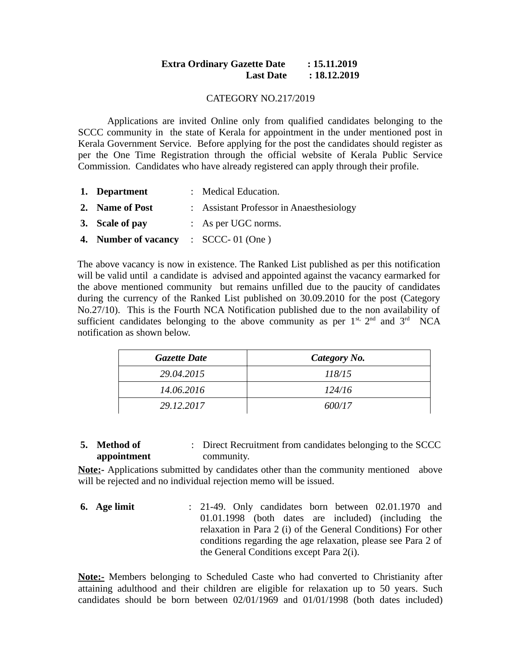## **Extra Ordinary Gazette Date : 15.11.2019 Last Date : 18.12.2019**

#### CATEGORY NO.217/2019

Applications are invited Online only from qualified candidates belonging to the SCCC community in the state of Kerala for appointment in the under mentioned post in Kerala Government Service. Before applying for the post the candidates should register as per the One Time Registration through the official website of Kerala Public Service Commission. Candidates who have already registered can apply through their profile.

| 1. Department                        | : Medical Education.                     |
|--------------------------------------|------------------------------------------|
| 2. Name of Post                      | : Assistant Professor in Anaesthesiology |
| 3. Scale of pay                      | : As per UGC norms.                      |
| 4. Number of vacancy : SCCC-01 (One) |                                          |

The above vacancy is now in existence. The Ranked List published as per this notification will be valid until a candidate is advised and appointed against the vacancy earmarked for the above mentioned community but remains unfilled due to the paucity of candidates during the currency of the Ranked List published on 30.09.2010 for the post (Category No.27/10). This is the Fourth NCA Notification published due to the non availability of sufficient candidates belonging to the above community as per  $1<sup>st</sup>$ ,  $2<sup>nd</sup>$  and  $3<sup>rd</sup>$  NCA notification as shown below.

| <b>Gazette Date</b> | Category No. |
|---------------------|--------------|
| 29.04.2015          | 118/15       |
| 14.06.2016          | 124/16       |
| 29.12.2017          | 600/17       |

**5. Method of appointment** : Direct Recruitment from candidates belonging to the SCCC community.

**Note:-** Applications submitted by candidates other than the community mentioned above will be rejected and no individual rejection memo will be issued.

**6. Age limit** : 21-49. Only candidates born between 02.01.1970 and 01.01.1998 (both dates are included) (including the relaxation in Para 2 (i) of the General Conditions) For other conditions regarding the age relaxation, please see Para 2 of the General Conditions except Para 2(i).

**Note:-** Members belonging to Scheduled Caste who had converted to Christianity after attaining adulthood and their children are eligible for relaxation up to 50 years. Such candidates should be born between 02/01/1969 and 01/01/1998 (both dates included)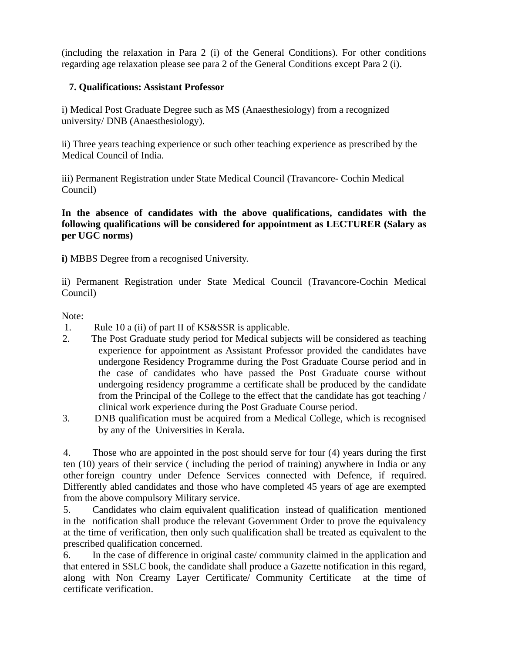(including the relaxation in Para 2 (i) of the General Conditions). For other conditions regarding age relaxation please see para 2 of the General Conditions except Para 2 (i).

# **7. Qualifications: Assistant Professor**

i) Medical Post Graduate Degree such as MS (Anaesthesiology) from a recognized university/ DNB (Anaesthesiology).

ii) Three years teaching experience or such other teaching experience as prescribed by the Medical Council of India.

iii) Permanent Registration under State Medical Council (Travancore- Cochin Medical Council)

**In the absence of candidates with the above qualifications, candidates with the following qualifications will be considered for appointment as LECTURER (Salary as per UGC norms)**

**i)** MBBS Degree from a recognised University.

ii) Permanent Registration under State Medical Council (Travancore-Cochin Medical Council)

## Note:

- 1. Rule 10 a (ii) of part II of KS&SSR is applicable.
- 2. The Post Graduate study period for Medical subjects will be considered as teaching experience for appointment as Assistant Professor provided the candidates have undergone Residency Programme during the Post Graduate Course period and in the case of candidates who have passed the Post Graduate course without undergoing residency programme a certificate shall be produced by the candidate from the Principal of the College to the effect that the candidate has got teaching / clinical work experience during the Post Graduate Course period.
- 3. DNB qualification must be acquired from a Medical College, which is recognised by any of the Universities in Kerala.

4. Those who are appointed in the post should serve for four (4) years during the first ten (10) years of their service ( including the period of training) anywhere in India or any other foreign country under Defence Services connected with Defence, if required. Differently abled candidates and those who have completed 45 years of age are exempted from the above compulsory Military service.

5. Candidates who claim equivalent qualification instead of qualification mentioned in the notification shall produce the relevant Government Order to prove the equivalency at the time of verification, then only such qualification shall be treated as equivalent to the prescribed qualification concerned.

6. In the case of difference in original caste/ community claimed in the application and that entered in SSLC book, the candidate shall produce a Gazette notification in this regard, along with Non Creamy Layer Certificate/ Community Certificate at the time of certificate verification.